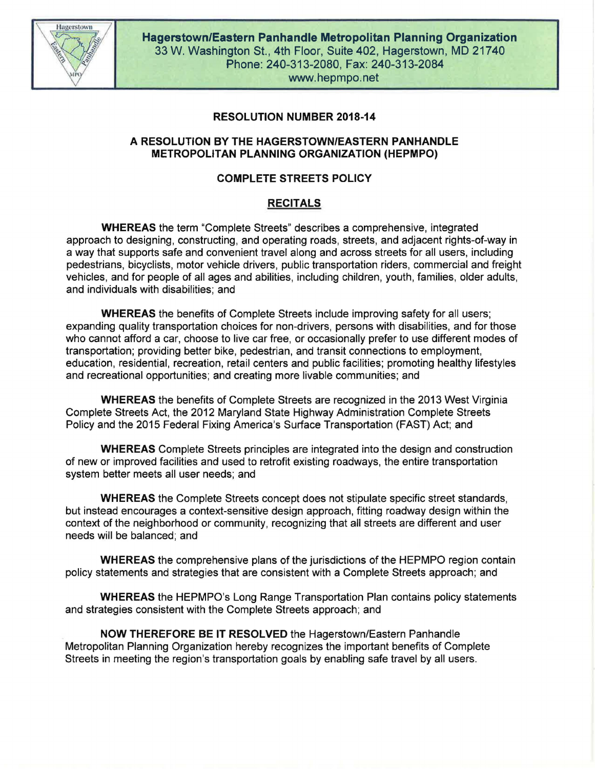

Hagerstown/Eastern Panhandle Metropolitan Planning Organization 33 W. Washington St., 4th Floor, Suite 402, Hagerstown, MD 21740 Phone: 240-313-2080, Fax: 240-313-2084 www.hepmpo.net

## RESOLUTION NUMBER 2018-14

## A RESOLUTION BY THE HAGERSTOWN/EASTERN PANHANDLE METROPOLITAN PLANNING ORGANIZATION (HEPMPO)

## COMPLETE STREETS POLICY

## **RECITALS**

WHEREAS the term "Complete Streets" describes a comprehensive, integrated approach to designing, constructing, and operating roads, streets, and adjacent rights-of-way in a way that supports safe and convenient travel along and across streets for all users, including pedestrians, bicyclists, motor vehicle drivers, public transportation riders, commercial and freight vehicles, and for people of all ages and abilities, including children, youth, families, older adults, and individuals with disabilities; and

WHEREAS the benefits of Complete Streets include improving safety for all users; expanding quality transportation choices for non-drivers, persons with disabilities, and for those who cannot afford a car, choose to live car free, or occasionally prefer to use different modes of transportation; providing better bike, pedestrian, and transit connections to employment, education, residential, recreation, retail centers and public facilities; promoting healthy lifestyles and recreational opportunities; and creating more livable communities; and

WHEREAS the benefits of Complete Streets are recognized in the 2013 West Virginia Complete Streets Act, the 2012 Maryland State Highway Administration Complete Streets Policy and the 2015 Federal Fixing America's Surface Transportation (FAST) Act; and

WHEREAS Complete Streets principles are integrated into the design and construction of new or improved facilities and used to retrofit existing roadways, the entire transportation system better meets all user needs; and

WHEREAS the Complete Streets concept does not stipulate specific street standards, but instead encourages a context-sensitive design approach, fitting roadway design within the context of the neighborhood or community, recognizing that all streets are different and user needs will be balanced; and

WHEREAS the comprehensive plans of the jurisdictions of the HEPMPO region contain policy statements and strategies that are consistent with a Complete Streets approach; and

WHEREAS the HEPMPO's Long Range Transportation Plan contains policy statements and strategies consistent with the Complete Streets approach; and

NOW THEREFORE BE IT RESOLVED the Hagerstown/Eastern Panhandle Metropolitan Planning Organization hereby recognizes the important benefits of Complete Streets in meeting the region's transportation goals by enabling safe travel by all users.